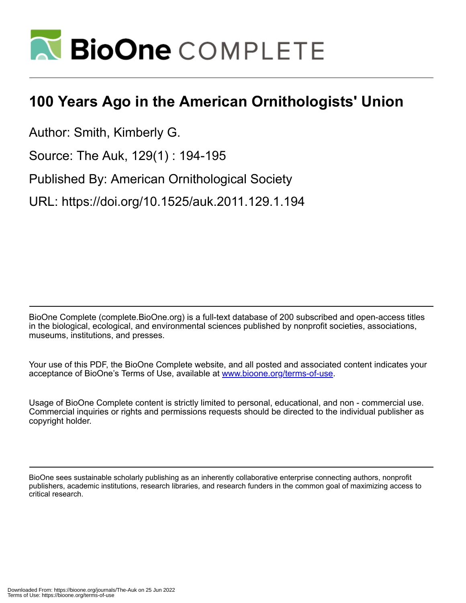

## **100 Years Ago in the American Ornithologists' Union**

Author: Smith, Kimberly G.

Source: The Auk, 129(1) : 194-195

Published By: American Ornithological Society

URL: https://doi.org/10.1525/auk.2011.129.1.194

BioOne Complete (complete.BioOne.org) is a full-text database of 200 subscribed and open-access titles in the biological, ecological, and environmental sciences published by nonprofit societies, associations, museums, institutions, and presses.

Your use of this PDF, the BioOne Complete website, and all posted and associated content indicates your acceptance of BioOne's Terms of Use, available at www.bioone.org/terms-of-use.

Usage of BioOne Complete content is strictly limited to personal, educational, and non - commercial use. Commercial inquiries or rights and permissions requests should be directed to the individual publisher as copyright holder.

BioOne sees sustainable scholarly publishing as an inherently collaborative enterprise connecting authors, nonprofit publishers, academic institutions, research libraries, and research funders in the common goal of maximizing access to critical research.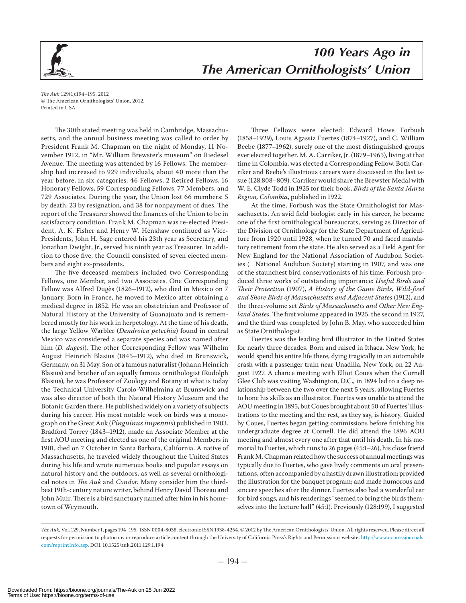

The Auk 129(1):194-195, 2012 © The American Ornithologists' Union, 2012. Printed in USA.

The 30th stated meeting was held in Cambridge, Massachusetts, and the annual business meeting was called to order by President Frank M. Chapman on the night of Monday, 11 November 1912, in "Mr. William Brewster's museum" on Riedesel Avenue. The meeting was attended by 16 Fellows. The membership had increased to 929 individuals, about 40 more than the year before, in six categories: 46 Fellows, 2 Retired Fellows, 16 Honorary Fellows, 59 Corresponding Fellows, 77 Members, and 729 Associates. During the year, the Union lost 66 members: 5 by death, 23 by resignation, and 38 for nonpayment of dues. The report of the Treasurer showed the finances of the Union to be in satisfactory condition. Frank M. Chapman was re-elected President, A. K. Fisher and Henry W. Henshaw continued as Vice-Presidents, John H. Sage entered his 23th year as Secretary, and Jonathan Dwight, Jr., served his ninth year as Treasurer. In addition to those five, the Council consisted of seven elected members and eight ex-presidents.

The five deceased members included two Corresponding Fellows, one Member, and two Associates. One Corresponding Fellow was Alfred Dugès (1826-1912), who died in Mexico on 7 January. Born in France, he moved to Mexico after obtaining a medical degree in 1852. He was an obstetrician and Professor of Natural History at the University of Guanajuato and is remembered mostly for his work in herpetology. At the time of his death, the large Yellow Warbler (Dendroica petechia) found in central Mexico was considered a separate species and was named after him (D. dugesi). The other Corresponding Fellow was Wilhelm August Heinrich Blasius (1845-1912), who died in Brunswick, Germany, on 31 May. Son of a famous naturalist (Johann Heinrich Blasius) and brother of an equally famous ornithologist (Rudolph Blasius), he was Professor of Zoology and Botany at what is today the Technical University Carolo-Wilhelmina at Brunswick and was also director of both the Natural History Museum and the Botanic Garden there. He published widely on a variety of subjects during his career. His most notable work on birds was a monograph on the Great Auk (Pinguinus impennis) published in 1903. Bradford Torrey (1843-1912), made an Associate Member at the first AOU meeting and elected as one of the original Members in 1901, died on 7 October in Santa Barbara, California. A native of Massachusetts, he traveled widely throughout the United States during his life and wrote numerous books and popular essays on natural history and the outdoors, as well as several ornithological notes in The Auk and Condor. Many consider him the thirdbest 19th-century nature writer, behind Henry David Thoreau and John Muir. There is a bird sanctuary named after him in his hometown of Weymouth.

Three Fellows were elected: Edward Howe Forbush (1858-1929), Louis Agassiz Fuertes (1874-1927), and C. William Beebe (1877–1962), surely one of the most distinguished groups ever elected together. M. A. Carriker, Jr. (1879-1965), living at that time in Colombia, was elected a Corresponding Fellow. Both Carriker and Beebe's illustrious careers were discussed in the last issue (128:808-809). Carriker would share the Brewster Medal with W. E. Clyde Todd in 1925 for their book, Birds of the Santa Marta Region, Colombia, published in 1922.

At the time, Forbush was the State Ornithologist for Massachusetts. An avid field biologist early in his career, he became one of the first ornithological bureaucrats, serving as Director of the Division of Ornithology for the State Department of Agriculture from 1920 until 1928, when he turned 70 and faced mandatory retirement from the state. He also served as a Field Agent for New England for the National Association of Audubon Societies (= National Audubon Society) starting in 1907, and was one of the staunchest bird conservationists of his time. Forbush produced three works of outstanding importance: Useful Birds and Their Protection (1907), A History of the Game Birds, Wild-fowl and Shore Birds of Massachusetts and Adjacent States (1912), and the three-volume set Birds of Massachusetts and Other New England States. The first volume appeared in 1925, the second in 1927, and the third was completed by John B. May, who succeeded him as State Ornithologist.

Fuertes was the leading bird illustrator in the United States for nearly three decades. Born and raised in Ithaca, New York, he would spend his entire life there, dying tragically in an automobile crash with a passenger train near Unadilla, New York, on 22 August 1927. A chance meeting with Elliot Coues when the Cornell Glee Club was visiting Washington, D.C., in 1894 led to a deep relationship between the two over the next 5 years, allowing Fuertes to hone his skills as an illustrator. Fuertes was unable to attend the AOU meeting in 1895, but Coues brought about 50 of Fuertes' illustrations to the meeting and the rest, as they say, is history. Guided by Coues, Fuertes began getting commissions before finishing his undergraduate degree at Cornell. He did attend the 1896 AOU meeting and almost every one after that until his death. In his memorial to Fuertes, which runs to 26 pages (45:1-26), his close friend Frank M. Chapman related how the success of annual meetings was typically due to Fuertes, who gave lively comments on oral presentations, often accompanied by a hastily drawn illustration; provided the illustration for the banquet program; and made humorous and sincere speeches after the dinner. Fuertes also had a wonderful ear for bird songs, and his renderings "seemed to bring the birds themselves into the lecture hall" (45:1). Previously (128:199), I suggested

The Auk, Vol. 129, Number 1, pages 194-195. ISSN 0004-8038, electronic ISSN 1938-4254. © 2012 by The American Ornithologists' Union. All rights reserved. Please direct all requests for permission to photocopy or reproduce article content through the University of California Press's Rights and Permissions website, http://www.ucpressjournals. com/reprintInfo.asp. DOI: 10.1525/auk.2011.129.1.194